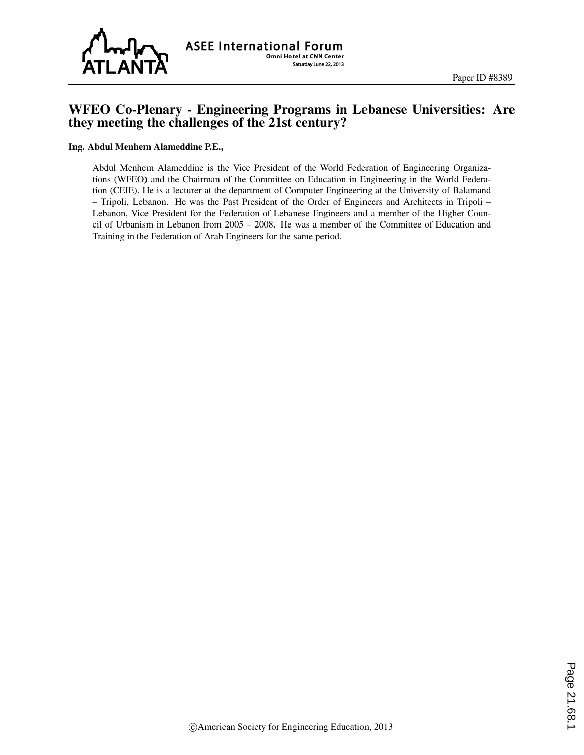

## WFEO Co-Plenary - Engineering Programs in Lebanese Universities: Are they meeting the challenges of the 21st century?

## Ing. Abdul Menhem Alameddine P.E.,

Abdul Menhem Alameddine is the Vice President of the World Federation of Engineering Organizations (WFEO) and the Chairman of the Committee on Education in Engineering in the World Federation (CEIE). He is a lecturer at the department of Computer Engineering at the University of Balamand – Tripoli, Lebanon. He was the Past President of the Order of Engineers and Architects in Tripoli – Lebanon, Vice President for the Federation of Lebanese Engineers and a member of the Higher Council of Urbanism in Lebanon from 2005 – 2008. He was a member of the Committee of Education and Training in the Federation of Arab Engineers for the same period.